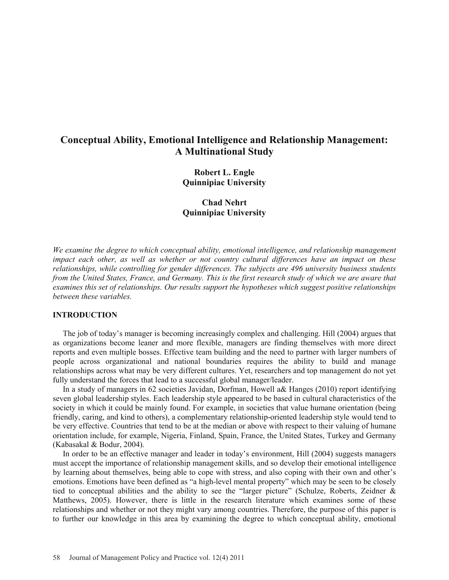# **Conceptual Ability, Emotional Intelligence and Relationship Management: A Multinational Study**

**Robert L. Engle Quinnipiac University** 

**Chad Nehrt Quinnipiac University** 

*We examine the degree to which conceptual ability, emotional intelligence, and relationship management impact each other, as well as whether or not country cultural differences have an impact on these relationships, while controlling for gender differences. The subjects are 496 university business students from the United States, France, and Germany. This is the first research study of which we are aware that examines this set of relationships. Our results support the hypotheses which suggest positive relationships between these variables.* 

#### **INTRODUCTION**

 The job of today's manager is becoming increasingly complex and challenging. Hill (2004) argues that as organizations become leaner and more flexible, managers are finding themselves with more direct reports and even multiple bosses. Effective team building and the need to partner with larger numbers of people across organizational and national boundaries requires the ability to build and manage relationships across what may be very different cultures. Yet, researchers and top management do not yet fully understand the forces that lead to a successful global manager/leader.

 In a study of managers in 62 societies Javidan, Dorfman, Howell a& Hanges (2010) report identifying seven global leadership styles. Each leadership style appeared to be based in cultural characteristics of the society in which it could be mainly found. For example, in societies that value humane orientation (being friendly, caring, and kind to others), a complementary relationship-oriented leadership style would tend to be very effective. Countries that tend to be at the median or above with respect to their valuing of humane orientation include, for example, Nigeria, Finland, Spain, France, the United States, Turkey and Germany (Kabasakal & Bodur, 2004).

 In order to be an effective manager and leader in today's environment, Hill (2004) suggests managers must accept the importance of relationship management skills, and so develop their emotional intelligence by learning about themselves, being able to cope with stress, and also coping with their own and other's emotions. Emotions have been defined as "a high-level mental property" which may be seen to be closely tied to conceptual abilities and the ability to see the "larger picture" (Schulze, Roberts, Zeidner & Matthews, 2005). However, there is little in the research literature which examines some of these relationships and whether or not they might vary among countries. Therefore, the purpose of this paper is to further our knowledge in this area by examining the degree to which conceptual ability, emotional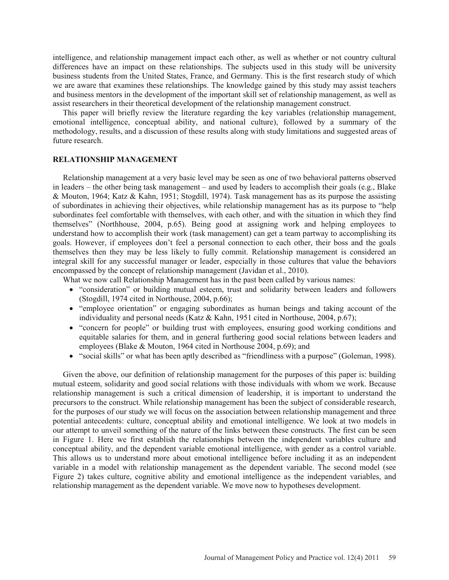intelligence, and relationship management impact each other, as well as whether or not country cultural differences have an impact on these relationships. The subjects used in this study will be university business students from the United States, France, and Germany. This is the first research study of which we are aware that examines these relationships. The knowledge gained by this study may assist teachers and business mentors in the development of the important skill set of relationship management, as well as assist researchers in their theoretical development of the relationship management construct.

 This paper will briefly review the literature regarding the key variables (relationship management, emotional intelligence, conceptual ability, and national culture), followed by a summary of the methodology, results, and a discussion of these results along with study limitations and suggested areas of future research.

#### **RELATIONSHIP MANAGEMENT**

 Relationship management at a very basic level may be seen as one of two behavioral patterns observed in leaders – the other being task management – and used by leaders to accomplish their goals (e.g., Blake & Mouton, 1964; Katz & Kahn, 1951; Stogdill, 1974). Task management has as its purpose the assisting of subordinates in achieving their objectives, while relationship management has as its purpose to "help subordinates feel comfortable with themselves, with each other, and with the situation in which they find themselves" (Northhouse, 2004, p.65). Being good at assigning work and helping employees to understand how to accomplish their work (task management) can get a team partway to accomplishing its goals. However, if employees don't feel a personal connection to each other, their boss and the goals themselves then they may be less likely to fully commit. Relationship management is considered an integral skill for any successful manager or leader, especially in those cultures that value the behaviors encompassed by the concept of relationship management (Javidan et al., 2010).

What we now call Relationship Management has in the past been called by various names:

- x "consideration" or building mutual esteem, trust and solidarity between leaders and followers (Stogdill, 1974 cited in Northouse, 2004, p.66);
- "employee orientation" or engaging subordinates as human beings and taking account of the individuality and personal needs (Katz & Kahn, 1951 cited in Northouse, 2004, p.67);
- "concern for people" or building trust with employees, ensuring good working conditions and equitable salaries for them, and in general furthering good social relations between leaders and employees (Blake & Mouton, 1964 cited in Northouse 2004, p.69); and
- "social skills" or what has been aptly described as "friendliness with a purpose" (Goleman, 1998).

 Given the above, our definition of relationship management for the purposes of this paper is: building mutual esteem, solidarity and good social relations with those individuals with whom we work. Because relationship management is such a critical dimension of leadership, it is important to understand the precursors to the construct. While relationship management has been the subject of considerable research, for the purposes of our study we will focus on the association between relationship management and three potential antecedents: culture, conceptual ability and emotional intelligence. We look at two models in our attempt to unveil something of the nature of the links between these constructs. The first can be seen in Figure 1. Here we first establish the relationships between the independent variables culture and conceptual ability, and the dependent variable emotional intelligence, with gender as a control variable. This allows us to understand more about emotional intelligence before including it as an independent variable in a model with relationship management as the dependent variable. The second model (see Figure 2) takes culture, cognitive ability and emotional intelligence as the independent variables, and relationship management as the dependent variable. We move now to hypotheses development.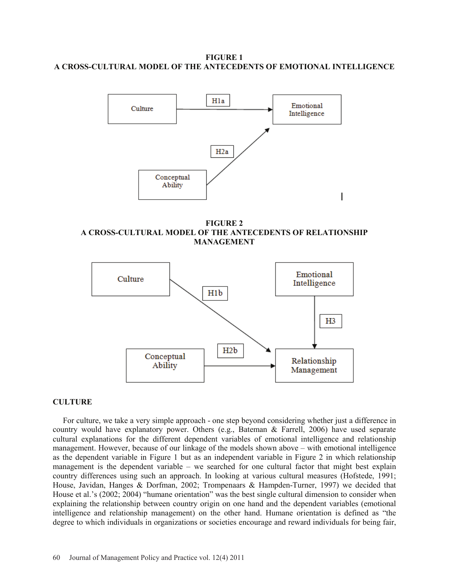**FIGURE 1 A CROSS-CULTURAL MODEL OF THE ANTECEDENTS OF EMOTIONAL INTELLIGENCE** 



**FIGURE 2 A CROSS-CULTURAL MODEL OF THE ANTECEDENTS OF RELATIONSHIP MANAGEMENT** 



#### **CULTURE**

 For culture, we take a very simple approach - one step beyond considering whether just a difference in country would have explanatory power. Others (e.g., Bateman & Farrell, 2006) have used separate cultural explanations for the different dependent variables of emotional intelligence and relationship management. However, because of our linkage of the models shown above – with emotional intelligence as the dependent variable in Figure 1 but as an independent variable in Figure 2 in which relationship management is the dependent variable – we searched for one cultural factor that might best explain country differences using such an approach. In looking at various cultural measures (Hofstede, 1991; House, Javidan, Hanges & Dorfman, 2002; Trompenaars & Hampden-Turner, 1997) we decided that House et al.'s (2002; 2004) "humane orientation" was the best single cultural dimension to consider when explaining the relationship between country origin on one hand and the dependent variables (emotional intelligence and relationship management) on the other hand. Humane orientation is defined as "the degree to which individuals in organizations or societies encourage and reward individuals for being fair,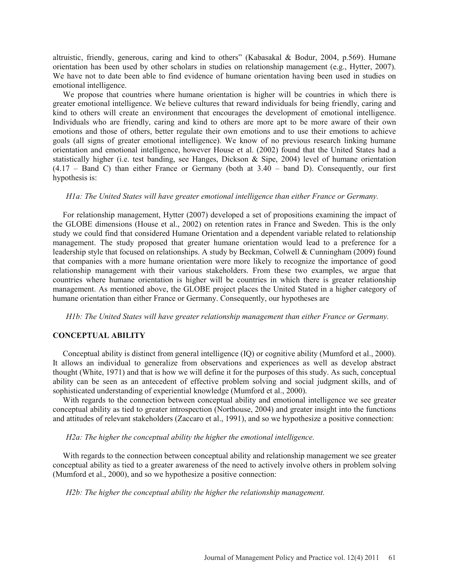altruistic, friendly, generous, caring and kind to others" (Kabasakal & Bodur, 2004, p.569). Humane orientation has been used by other scholars in studies on relationship management (e.g., Hytter, 2007). We have not to date been able to find evidence of humane orientation having been used in studies on emotional intelligence.

 We propose that countries where humane orientation is higher will be countries in which there is greater emotional intelligence. We believe cultures that reward individuals for being friendly, caring and kind to others will create an environment that encourages the development of emotional intelligence. Individuals who are friendly, caring and kind to others are more apt to be more aware of their own emotions and those of others, better regulate their own emotions and to use their emotions to achieve goals (all signs of greater emotional intelligence). We know of no previous research linking humane orientation and emotional intelligence, however House et al. (2002) found that the United States had a statistically higher (i.e. test banding, see Hanges, Dickson & Sipe, 2004) level of humane orientation  $(4.17 - Band C)$  than either France or Germany (both at  $3.40 - band D$ ). Consequently, our first hypothesis is:

#### *H1a: The United States will have greater emotional intelligence than either France or Germany.*

 For relationship management, Hytter (2007) developed a set of propositions examining the impact of the GLOBE dimensions (House et al., 2002) on retention rates in France and Sweden. This is the only study we could find that considered Humane Orientation and a dependent variable related to relationship management. The study proposed that greater humane orientation would lead to a preference for a leadership style that focused on relationships. A study by Beckman, Colwell & Cunningham (2009) found that companies with a more humane orientation were more likely to recognize the importance of good relationship management with their various stakeholders. From these two examples, we argue that countries where humane orientation is higher will be countries in which there is greater relationship management. As mentioned above, the GLOBE project places the United Stated in a higher category of humane orientation than either France or Germany. Consequently, our hypotheses are

*H1b: The United States will have greater relationship management than either France or Germany.* 

## **CONCEPTUAL ABILITY**

 Conceptual ability is distinct from general intelligence (IQ) or cognitive ability (Mumford et al., 2000). It allows an individual to generalize from observations and experiences as well as develop abstract thought (White, 1971) and that is how we will define it for the purposes of this study. As such, conceptual ability can be seen as an antecedent of effective problem solving and social judgment skills, and of sophisticated understanding of experiential knowledge (Mumford et al., 2000).

 With regards to the connection between conceptual ability and emotional intelligence we see greater conceptual ability as tied to greater introspection (Northouse, 2004) and greater insight into the functions and attitudes of relevant stakeholders (Zaccaro et al., 1991), and so we hypothesize a positive connection:

*H2a: The higher the conceptual ability the higher the emotional intelligence.* 

 With regards to the connection between conceptual ability and relationship management we see greater conceptual ability as tied to a greater awareness of the need to actively involve others in problem solving (Mumford et al., 2000), and so we hypothesize a positive connection:

*H2b: The higher the conceptual ability the higher the relationship management.*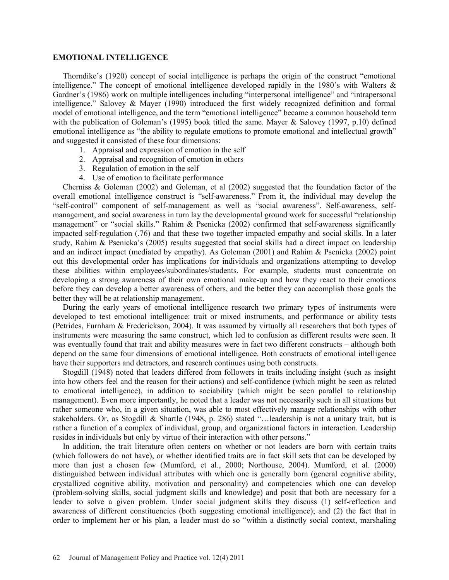#### **EMOTIONAL INTELLIGENCE**

 Thorndike's (1920) concept of social intelligence is perhaps the origin of the construct "emotional intelligence." The concept of emotional intelligence developed rapidly in the 1980's with Walters  $\&$ Gardner's (1986) work on multiple intelligences including "interpersonal intelligence" and "intrapersonal intelligence." Salovey & Mayer (1990) introduced the first widely recognized definition and formal model of emotional intelligence, and the term "emotional intelligence" became a common household term with the publication of Goleman's (1995) book titled the same. Mayer & Salovey (1997, p.10) defined emotional intelligence as "the ability to regulate emotions to promote emotional and intellectual growth" and suggested it consisted of these four dimensions:

- 1. Appraisal and expression of emotion in the self
- 2. Appraisal and recognition of emotion in others
- 3. Regulation of emotion in the self
- 4. Use of emotion to facilitate performance

 Cherniss & Goleman (2002) and Goleman, et al (2002) suggested that the foundation factor of the overall emotional intelligence construct is "self-awareness." From it, the individual may develop the "self-control" component of self-management as well as "social awareness". Self-awareness, selfmanagement, and social awareness in turn lay the developmental ground work for successful "relationship management" or "social skills." Rahim & Psenicka (2002) confirmed that self-awareness significantly impacted self-regulation (.76) and that these two together impacted empathy and social skills. In a later study, Rahim & Psenicka's (2005) results suggested that social skills had a direct impact on leadership and an indirect impact (mediated by empathy). As Goleman (2001) and Rahim & Psenicka (2002) point out this developmental order has implications for individuals and organizations attempting to develop these abilities within employees/subordinates/students. For example, students must concentrate on developing a strong awareness of their own emotional make-up and how they react to their emotions before they can develop a better awareness of others, and the better they can accomplish those goals the better they will be at relationship management.

 During the early years of emotional intelligence research two primary types of instruments were developed to test emotional intelligence: trait or mixed instruments, and performance or ability tests (Petrides, Furnham & Frederickson, 2004). It was assumed by virtually all researchers that both types of instruments were measuring the same construct, which led to confusion as different results were seen. It was eventually found that trait and ability measures were in fact two different constructs – although both depend on the same four dimensions of emotional intelligence. Both constructs of emotional intelligence have their supporters and detractors, and research continues using both constructs.

 Stogdill (1948) noted that leaders differed from followers in traits including insight (such as insight into how others feel and the reason for their actions) and self-confidence (which might be seen as related to emotional intelligence), in addition to sociability (which might be seen parallel to relationship management). Even more importantly, he noted that a leader was not necessarily such in all situations but rather someone who, in a given situation, was able to most effectively manage relationships with other stakeholders. Or, as Stogdill & Shartle (1948, p. 286) stated "…leadership is not a unitary trait, but is rather a function of a complex of individual, group, and organizational factors in interaction. Leadership resides in individuals but only by virtue of their interaction with other persons."

 In addition, the trait literature often centers on whether or not leaders are born with certain traits (which followers do not have), or whether identified traits are in fact skill sets that can be developed by more than just a chosen few (Mumford, et al., 2000; Northouse, 2004). Mumford, et al. (2000) distinguished between individual attributes with which one is generally born (general cognitive ability, crystallized cognitive ability, motivation and personality) and competencies which one can develop (problem-solving skills, social judgment skills and knowledge) and posit that both are necessary for a leader to solve a given problem. Under social judgment skills they discuss (1) self-reflection and awareness of different constituencies (both suggesting emotional intelligence); and (2) the fact that in order to implement her or his plan, a leader must do so "within a distinctly social context, marshaling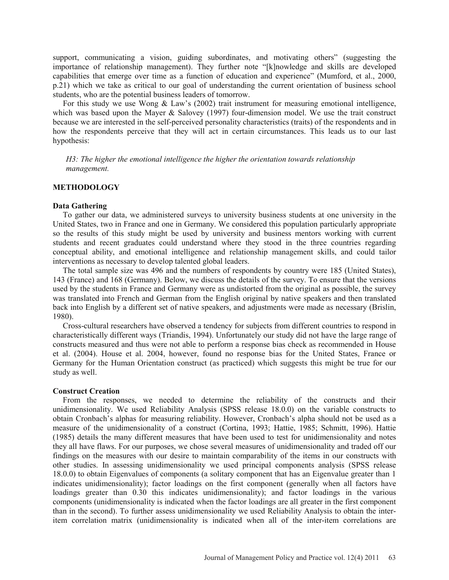support, communicating a vision, guiding subordinates, and motivating others" (suggesting the importance of relationship management). They further note "[k]nowledge and skills are developed capabilities that emerge over time as a function of education and experience" (Mumford, et al., 2000, p.21) which we take as critical to our goal of understanding the current orientation of business school students, who are the potential business leaders of tomorrow.

For this study we use Wong & Law's (2002) trait instrument for measuring emotional intelligence, which was based upon the Mayer & Salovey (1997) four-dimension model. We use the trait construct because we are interested in the self-perceived personality characteristics (traits) of the respondents and in how the respondents perceive that they will act in certain circumstances. This leads us to our last hypothesis:

*H3: The higher the emotional intelligence the higher the orientation towards relationship management.* 

#### **METHODOLOGY**

#### **Data Gathering**

 To gather our data, we administered surveys to university business students at one university in the United States, two in France and one in Germany. We considered this population particularly appropriate so the results of this study might be used by university and business mentors working with current students and recent graduates could understand where they stood in the three countries regarding conceptual ability, and emotional intelligence and relationship management skills, and could tailor interventions as necessary to develop talented global leaders.

 The total sample size was 496 and the numbers of respondents by country were 185 (United States), 143 (France) and 168 (Germany). Below, we discuss the details of the survey. To ensure that the versions used by the students in France and Germany were as undistorted from the original as possible, the survey was translated into French and German from the English original by native speakers and then translated back into English by a different set of native speakers, and adjustments were made as necessary (Brislin, 1980).

 Cross-cultural researchers have observed a tendency for subjects from different countries to respond in characteristically different ways (Triandis, 1994). Unfortunately our study did not have the large range of constructs measured and thus were not able to perform a response bias check as recommended in House et al. (2004). House et al. 2004, however, found no response bias for the United States, France or Germany for the Human Orientation construct (as practiced) which suggests this might be true for our study as well.

#### **Construct Creation**

 From the responses, we needed to determine the reliability of the constructs and their unidimensionality. We used Reliability Analysis (SPSS release 18.0.0) on the variable constructs to obtain Cronbach's alphas for measuring reliability. However, Cronbach's alpha should not be used as a measure of the unidimensionality of a construct (Cortina, 1993; Hattie, 1985; Schmitt, 1996). Hattie (1985) details the many different measures that have been used to test for unidimensionality and notes they all have flaws. For our purposes, we chose several measures of unidimensionality and traded off our findings on the measures with our desire to maintain comparability of the items in our constructs with other studies. In assessing unidimensionality we used principal components analysis (SPSS release 18.0.0) to obtain Eigenvalues of components (a solitary component that has an Eigenvalue greater than 1 indicates unidimensionality); factor loadings on the first component (generally when all factors have loadings greater than 0.30 this indicates unidimensionality); and factor loadings in the various components (unidimensionality is indicated when the factor loadings are all greater in the first component than in the second). To further assess unidimensionality we used Reliability Analysis to obtain the interitem correlation matrix (unidimensionality is indicated when all of the inter-item correlations are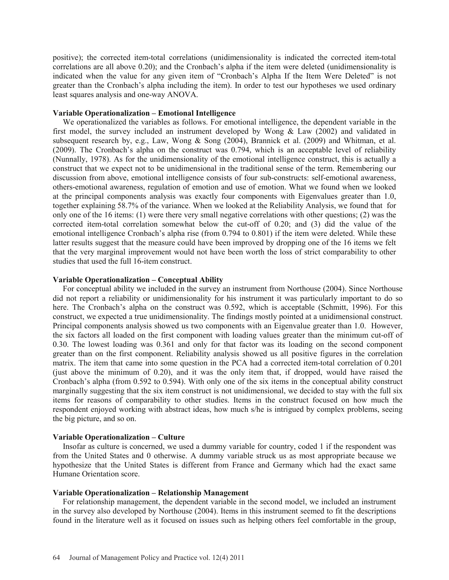positive); the corrected item-total correlations (unidimensionality is indicated the corrected item-total correlations are all above 0.20); and the Cronbach's alpha if the item were deleted (unidimensionality is indicated when the value for any given item of "Cronbach's Alpha If the Item Were Deleted" is not greater than the Cronbach's alpha including the item). In order to test our hypotheses we used ordinary least squares analysis and one-way ANOVA.

#### **Variable Operationalization – Emotional Intelligence**

 We operationalized the variables as follows. For emotional intelligence, the dependent variable in the first model, the survey included an instrument developed by Wong & Law (2002) and validated in subsequent research by, e.g., Law, Wong & Song (2004), Brannick et al. (2009) and Whitman, et al. (2009). The Cronbach's alpha on the construct was 0.794, which is an acceptable level of reliability (Nunnally, 1978). As for the unidimensionality of the emotional intelligence construct, this is actually a construct that we expect not to be unidimensional in the traditional sense of the term. Remembering our discussion from above, emotional intelligence consists of four sub-constructs: self-emotional awareness, others-emotional awareness, regulation of emotion and use of emotion. What we found when we looked at the principal components analysis was exactly four components with Eigenvalues greater than 1.0, together explaining 58.7% of the variance. When we looked at the Reliability Analysis, we found that for only one of the 16 items: (1) were there very small negative correlations with other questions; (2) was the corrected item-total correlation somewhat below the cut-off of 0.20; and (3) did the value of the emotional intelligence Cronbach's alpha rise (from 0.794 to 0.801) if the item were deleted. While these latter results suggest that the measure could have been improved by dropping one of the 16 items we felt that the very marginal improvement would not have been worth the loss of strict comparability to other studies that used the full 16-item construct.

#### **Variable Operationalization – Conceptual Ability**

 For conceptual ability we included in the survey an instrument from Northouse (2004). Since Northouse did not report a reliability or unidimensionality for his instrument it was particularly important to do so here. The Cronbach's alpha on the construct was 0.592, which is acceptable (Schmitt, 1996). For this construct, we expected a true unidimensionality. The findings mostly pointed at a unidimensional construct. Principal components analysis showed us two components with an Eigenvalue greater than 1.0. However, the six factors all loaded on the first component with loading values greater than the minimum cut-off of 0.30. The lowest loading was 0.361 and only for that factor was its loading on the second component greater than on the first component. Reliability analysis showed us all positive figures in the correlation matrix. The item that came into some question in the PCA had a corrected item-total correlation of 0.201 (just above the minimum of 0.20), and it was the only item that, if dropped, would have raised the Cronbach's alpha (from 0.592 to 0.594). With only one of the six items in the conceptual ability construct marginally suggesting that the six item construct is not unidimensional, we decided to stay with the full six items for reasons of comparability to other studies. Items in the construct focused on how much the respondent enjoyed working with abstract ideas, how much s/he is intrigued by complex problems, seeing the big picture, and so on.

#### **Variable Operationalization – Culture**

 Insofar as culture is concerned, we used a dummy variable for country, coded 1 if the respondent was from the United States and 0 otherwise. A dummy variable struck us as most appropriate because we hypothesize that the United States is different from France and Germany which had the exact same Humane Orientation score.

#### **Variable Operationalization – Relationship Management**

 For relationship management, the dependent variable in the second model, we included an instrument in the survey also developed by Northouse (2004). Items in this instrument seemed to fit the descriptions found in the literature well as it focused on issues such as helping others feel comfortable in the group,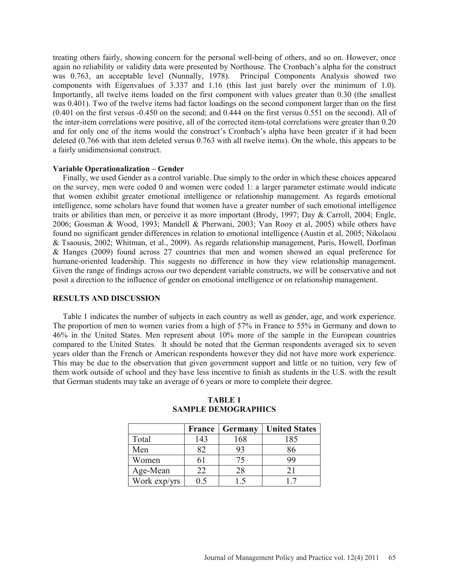treating others fairly, showing concern for the personal well-being of others, and so on. However, once again no reliability or validity data were presented by Northouse. The Cronbach's alpha for the construct was 0.763, an acceptable level (Nunnally, 1978). Principal Components Analysis showed two components with Eigenvalues of 3.337 and 1.16 (this last just barely over the minimum of 1.0). Importantly, all twelve items loaded on the first component with values greater than 0.30 (the smallest was 0.401). Two of the twelve items had factor loadings on the second component larger than on the first (0.401 on the first versus -0.450 on the second; and 0.444 on the first versus 0.551 on the second). All of the inter-item correlations were positive, all of the corrected item-total correlations were greater than 0.20 and for only one of the items would the construct's Cronbach's alpha have been greater if it had been deleted (0.766 with that item deleted versus 0.763 with all twelve items). On the whole, this appears to be a fairly unidimensional construct.

## **Variable Operationalization – Gender**

 Finally, we used Gender as a control variable. Due simply to the order in which these choices appeared on the survey, men were coded 0 and women were coded 1: a larger parameter estimate would indicate that women exhibit greater emotional intelligence or relationship management. As regards emotional intelligence, some scholars have found that women have a greater number of such emotional intelligence traits or abilities than men, or perceive it as more important (Brody, 1997; Day & Carroll, 2004; Engle, 2006; Gossman & Wood, 1993; Mandell & Pherwani, 2003; Van Rooy et al, 2005) while others have found no significant gender differences in relation to emotional intelligence (Austin et al, 2005; Nikolaou & Tsaousis, 2002; Whitman, et al., 2009). As regards relationship management, Paris, Howell, Dorfman & Hanges (2009) found across 27 countries that men and women showed an equal preference for humane-oriented leadership. This suggests no difference in how they view relationship management. Given the range of findings across our two dependent variable constructs, we will be conservative and not posit a direction to the influence of gender on emotional intelligence or on relationship management.

## **RESULTS AND DISCUSSION**

 Table 1 indicates the number of subjects in each country as well as gender, age, and work experience. The proportion of men to women varies from a high of 57% in France to 55% in Germany and down to 46% in the United States. Men represent about 10% more of the sample in the European countries compared to the United States. It should be noted that the German respondents averaged six to seven years older than the French or American respondents however they did not have more work experience. This may be due to the observation that given government support and little or no tuition, very few of them work outside of school and they have less incentive to finish as students in the U.S. with the result that German students may take an average of 6 years or more to complete their degree.

|              | <b>France</b> | Germany | <b>United States</b> |
|--------------|---------------|---------|----------------------|
| Total        | 143           | 168     | 185                  |
| Men          | 82            | 93      | 86                   |
| Women        | 61            | 75      | 99                   |
| Age-Mean     | 22            | 28      | 21                   |
| Work exp/yrs | $(1)$ 5       | $\sim$  | 17                   |

## **TABLE 1 SAMPLE DEMOGRAPHICS**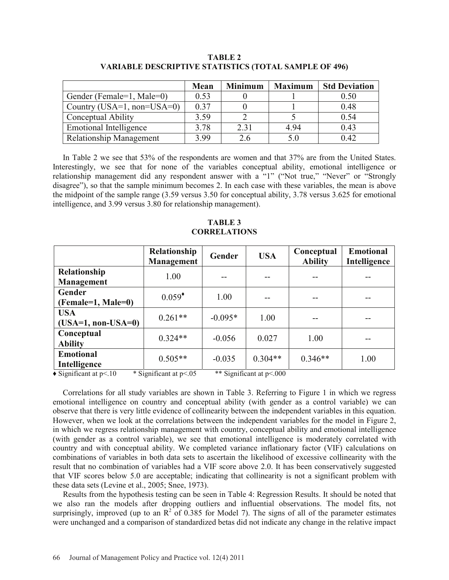|                                | Mean | <b>Minimum</b> | <b>Maximum</b> | <b>Std Deviation</b> |
|--------------------------------|------|----------------|----------------|----------------------|
| Gender (Female=1, Male=0)      | 0.53 |                |                | 0.50                 |
| Country (USA=1, non=USA=0)     | 0.37 |                |                | 0.48                 |
| Conceptual Ability             | 3.59 |                |                | 0.54                 |
| Emotional Intelligence         | 3.78 | 2.31           | 4.94           | 0.43                 |
| <b>Relationship Management</b> | 3.99 | 2.6            | 5.0            | 0.42                 |

**TABLE 2 VARIABLE DESCRIPTIVE STATISTICS (TOTAL SAMPLE OF 496)** 

 In Table 2 we see that 53% of the respondents are women and that 37% are from the United States. Interestingly, we see that for none of the variables conceptual ability, emotional intelligence or relationship management did any respondent answer with a "1" ("Not true," "Never" or "Strongly disagree"), so that the sample minimum becomes 2. In each case with these variables, the mean is above the midpoint of the sample range (3.59 versus 3.50 for conceptual ability, 3.78 versus 3.625 for emotional intelligence, and 3.99 versus 3.80 for relationship management).

**TABLE 3 CORRELATIONS** 

|                                         | Relationship<br>Management | Gender    | <b>USA</b> | Conceptual<br><b>Ability</b> | <b>Emotional</b><br>Intelligence |
|-----------------------------------------|----------------------------|-----------|------------|------------------------------|----------------------------------|
| Relationship<br>Management              | 1.00                       | --        | --         | --                           | --                               |
| Gender<br>$(Female=1, Male=0)$          | $0.059^*$                  | 1.00      |            | --                           |                                  |
| <b>USA</b><br>$(USA=1, non-USA=0)$      | $0.261**$                  | $-0.095*$ | 1.00       |                              |                                  |
| Conceptual<br><b>Ability</b>            | $0.324**$                  | $-0.056$  | 0.027      | 1.00                         |                                  |
| <b>Emotional</b><br><b>Intelligence</b> | $0.505**$                  | $-0.035$  | $0.304**$  | $0.346**$                    | 1.00                             |

• Significant at p<.10 \* Significant at p<.05 \*\* Significant at p<.000

 Correlations for all study variables are shown in Table 3. Referring to Figure 1 in which we regress emotional intelligence on country and conceptual ability (with gender as a control variable) we can observe that there is very little evidence of collinearity between the independent variables in this equation. However, when we look at the correlations between the independent variables for the model in Figure 2, in which we regress relationship management with country, conceptual ability and emotional intelligence (with gender as a control variable), we see that emotional intelligence is moderately correlated with country and with conceptual ability. We completed variance inflationary factor (VIF) calculations on combinations of variables in both data sets to ascertain the likelihood of excessive collinearity with the result that no combination of variables had a VIF score above 2.0. It has been conservatively suggested that VIF scores below 5.0 are acceptable; indicating that collinearity is not a significant problem with these data sets (Levine et al., 2005; Snee, 1973).

 Results from the hypothesis testing can be seen in Table 4: Regression Results. It should be noted that we also ran the models after dropping outliers and influential observations. The model fits, not surprisingly, improved (up to an  $R^2$  of 0.385 for Model 7). The signs of all of the parameter estimates were unchanged and a comparison of standardized betas did not indicate any change in the relative impact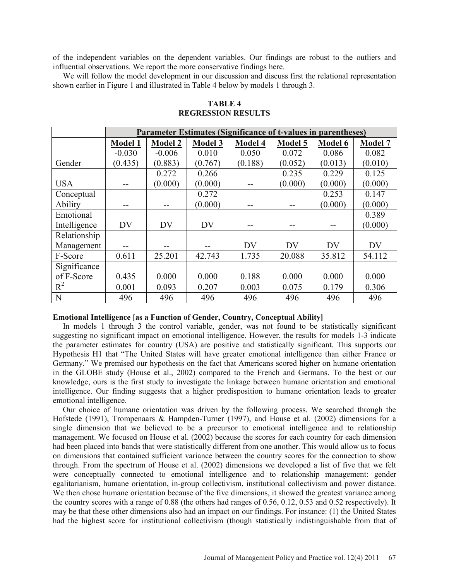of the independent variables on the dependent variables. Our findings are robust to the outliers and influential observations. We report the more conservative findings here.

 We will follow the model development in our discussion and discuss first the relational representation shown earlier in Figure 1 and illustrated in Table 4 below by models 1 through 3.

|              | <b>Parameter Estimates (Significance of t-values in parentheses)</b> |                |                |                |                |         |                |
|--------------|----------------------------------------------------------------------|----------------|----------------|----------------|----------------|---------|----------------|
|              | <b>Model 1</b>                                                       | <b>Model 2</b> | <b>Model 3</b> | <b>Model 4</b> | <b>Model 5</b> | Model 6 | <b>Model 7</b> |
|              | $-0.030$                                                             | $-0.006$       | 0.010          | 0.050          | 0.072          | 0.086   | 0.082          |
| Gender       | (0.435)                                                              | (0.883)        | (0.767)        | (0.188)        | (0.052)        | (0.013) | (0.010)        |
|              |                                                                      | 0.272          | 0.266          |                | 0.235          | 0.229   | 0.125          |
| <b>USA</b>   |                                                                      | (0.000)        | (0.000)        |                | (0.000)        | (0.000) | (0.000)        |
| Conceptual   |                                                                      |                | 0.272          |                |                | 0.253   | 0.147          |
| Ability      |                                                                      |                | (0.000)        |                |                | (0.000) | (0.000)        |
| Emotional    |                                                                      |                |                |                |                |         | 0.389          |
| Intelligence | DV                                                                   | DV             | DV             |                |                |         | (0.000)        |
| Relationship |                                                                      |                |                |                |                |         |                |
| Management   | --                                                                   |                |                | <b>DV</b>      | <b>DV</b>      | DV      | DV             |
| F-Score      | 0.611                                                                | 25.201         | 42.743         | 1.735          | 20.088         | 35.812  | 54.112         |
| Significance |                                                                      |                |                |                |                |         |                |
| of F-Score   | 0.435                                                                | 0.000          | 0.000          | 0.188          | 0.000          | 0.000   | 0.000          |
| $R^2$        | 0.001                                                                | 0.093          | 0.207          | 0.003          | 0.075          | 0.179   | 0.306          |
| N            | 496                                                                  | 496            | 496            | 496            | 496            | 496     | 496            |

**TABLE 4 REGRESSION RESULTS** 

#### **Emotional Intelligence [as a Function of Gender, Country, Conceptual Ability]**

 In models 1 through 3 the control variable, gender, was not found to be statistically significant suggesting no significant impact on emotional intelligence. However, the results for models 1-3 indicate the parameter estimates for country (USA) are positive and statistically significant. This supports our Hypothesis H1 that "The United States will have greater emotional intelligence than either France or Germany." We premised our hypothesis on the fact that Americans scored higher on humane orientation in the GLOBE study (House et al., 2002) compared to the French and Germans. To the best or our knowledge, ours is the first study to investigate the linkage between humane orientation and emotional intelligence. Our finding suggests that a higher predisposition to humane orientation leads to greater emotional intelligence.

 Our choice of humane orientation was driven by the following process. We searched through the Hofstede (1991), Trompenaars & Hampden-Turner (1997), and House et al. (2002) dimensions for a single dimension that we believed to be a precursor to emotional intelligence and to relationship management. We focused on House et al. (2002) because the scores for each country for each dimension had been placed into bands that were statistically different from one another. This would allow us to focus on dimensions that contained sufficient variance between the country scores for the connection to show through. From the spectrum of House et al. (2002) dimensions we developed a list of five that we felt were conceptually connected to emotional intelligence and to relationship management: gender egalitarianism, humane orientation, in-group collectivism, institutional collectivism and power distance. We then chose humane orientation because of the five dimensions, it showed the greatest variance among the country scores with a range of 0.88 (the others had ranges of 0.56, 0.12, 0.53 and 0.52 respectively). It may be that these other dimensions also had an impact on our findings. For instance: (1) the United States had the highest score for institutional collectivism (though statistically indistinguishable from that of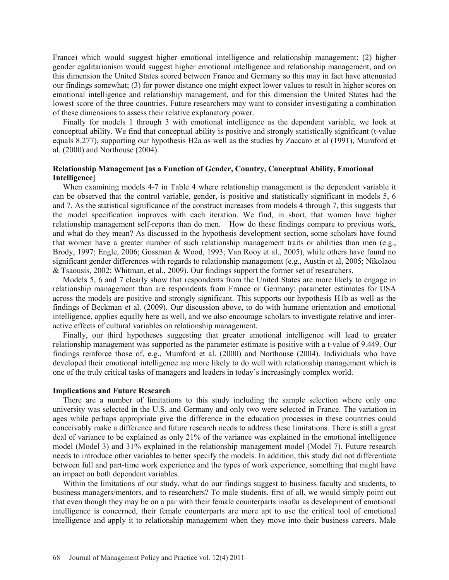France) which would suggest higher emotional intelligence and relationship management; (2) higher gender egalitarianism would suggest higher emotional intelligence and relationship management, and on this dimension the United States scored between France and Germany so this may in fact have attenuated our findings somewhat; (3) for power distance one might expect lower values to result in higher scores on emotional intelligence and relationship management, and for this dimension the United States had the lowest score of the three countries. Future researchers may want to consider investigating a combination of these dimensions to assess their relative explanatory power.

 Finally for models 1 through 3 with emotional intelligence as the dependent variable, we look at conceptual ability. We find that conceptual ability is positive and strongly statistically significant (t-value equals 8.277), supporting our hypothesis H2a as well as the studies by Zaccaro et al (1991), Mumford et al. (2000) and Northouse (2004).

# **Relationship Management [as a Function of Gender, Country, Conceptual Ability, Emotional Intelligence]**

 When examining models 4-7 in Table 4 where relationship management is the dependent variable it can be observed that the control variable, gender, is positive and statistically significant in models 5, 6 and 7. As the statistical significance of the construct increases from models 4 through 7, this suggests that the model specification improves with each iteration. We find, in short, that women have higher relationship management self-reports than do men. How do these findings compare to previous work, and what do they mean? As discussed in the hypothesis development section, some scholars have found that women have a greater number of such relationship management traits or abilities than men (e.g., Brody, 1997; Engle, 2006; Gossman & Wood, 1993; Van Rooy et al., 2005), while others have found no significant gender differences with regards to relationship management (e.g., Austin et al, 2005; Nikolaou & Tsaousis, 2002; Whitman, et al., 2009). Our findings support the former set of researchers.

 Models 5, 6 and 7 clearly show that respondents from the United States are more likely to engage in relationship management than are respondents from France or Germany: parameter estimates for USA across the models are positive and strongly significant. This supports our hypothesis H1b as well as the findings of Beckman et al. (2009). Our discussion above, to do with humane orientation and emotional intelligence, applies equally here as well, and we also encourage scholars to investigate relative and interactive effects of cultural variables on relationship management.

 Finally, our third hypotheses suggesting that greater emotional intelligence will lead to greater relationship management was supported as the parameter estimate is positive with a t-value of 9.449. Our findings reinforce those of, e.g., Mumford et al. (2000) and Northouse (2004). Individuals who have developed their emotional intelligence are more likely to do well with relationship management which is one of the truly critical tasks of managers and leaders in today's increasingly complex world.

#### **Implications and Future Research**

 There are a number of limitations to this study including the sample selection where only one university was selected in the U.S. and Germany and only two were selected in France. The variation in ages while perhaps appropriate give the difference in the education processes in these countries could conceivably make a difference and future research needs to address these limitations. There is still a great deal of variance to be explained as only 21% of the variance was explained in the emotional intelligence model (Model 3) and 31% explained in the relationship management model (Model 7). Future research needs to introduce other variables to better specify the models. In addition, this study did not differentiate between full and part-time work experience and the types of work experience, something that might have an impact on both dependent variables.

 Within the limitations of our study, what do our findings suggest to business faculty and students, to business managers/mentors, and to researchers? To male students, first of all, we would simply point out that even though they may be on a par with their female counterparts insofar as development of emotional intelligence is concerned, their female counterparts are more apt to use the critical tool of emotional intelligence and apply it to relationship management when they move into their business careers. Male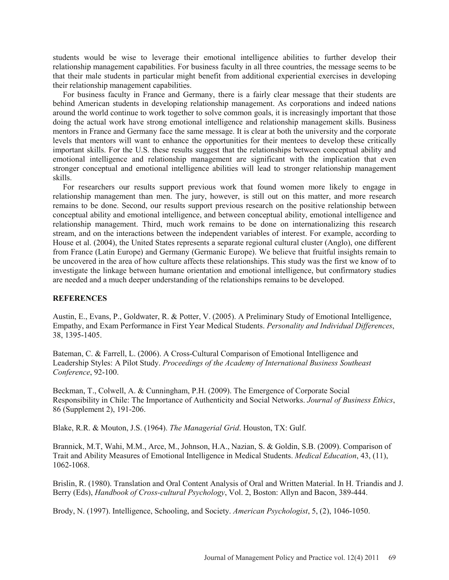students would be wise to leverage their emotional intelligence abilities to further develop their relationship management capabilities. For business faculty in all three countries, the message seems to be that their male students in particular might benefit from additional experiential exercises in developing their relationship management capabilities.

 For business faculty in France and Germany, there is a fairly clear message that their students are behind American students in developing relationship management. As corporations and indeed nations around the world continue to work together to solve common goals, it is increasingly important that those doing the actual work have strong emotional intelligence and relationship management skills. Business mentors in France and Germany face the same message. It is clear at both the university and the corporate levels that mentors will want to enhance the opportunities for their mentees to develop these critically important skills. For the U.S. these results suggest that the relationships between conceptual ability and emotional intelligence and relationship management are significant with the implication that even stronger conceptual and emotional intelligence abilities will lead to stronger relationship management skills.

 For researchers our results support previous work that found women more likely to engage in relationship management than men. The jury, however, is still out on this matter, and more research remains to be done. Second, our results support previous research on the positive relationship between conceptual ability and emotional intelligence, and between conceptual ability, emotional intelligence and relationship management. Third, much work remains to be done on internationalizing this research stream, and on the interactions between the independent variables of interest. For example, according to House et al. (2004), the United States represents a separate regional cultural cluster (Anglo), one different from France (Latin Europe) and Germany (Germanic Europe). We believe that fruitful insights remain to be uncovered in the area of how culture affects these relationships. This study was the first we know of to investigate the linkage between humane orientation and emotional intelligence, but confirmatory studies are needed and a much deeper understanding of the relationships remains to be developed.

# **REFERENCES**

Austin, E., Evans, P., Goldwater, R. & Potter, V. (2005). A Preliminary Study of Emotional Intelligence, Empathy, and Exam Performance in First Year Medical Students. *Personality and Individual Differences*, 38, 1395-1405.

Bateman, C. & Farrell, L. (2006). A Cross-Cultural Comparison of Emotional Intelligence and Leadership Styles: A Pilot Study. *Proceedings of the Academy of International Business Southeast Conference*, 92-100.

Beckman, T., Colwell, A. & Cunningham, P.H. (2009). The Emergence of Corporate Social Responsibility in Chile: The Importance of Authenticity and Social Networks. *Journal of Business Ethics*, 86 (Supplement 2), 191-206.

Blake, R.R. & Mouton, J.S. (1964). *The Managerial Grid*. Houston, TX: Gulf.

Brannick, M.T, Wahi, M.M., Arce, M., Johnson, H.A., Nazian, S. & Goldin, S.B. (2009). Comparison of Trait and Ability Measures of Emotional Intelligence in Medical Students. *Medical Education*, 43, (11), 1062-1068.

Brislin, R. (1980). Translation and Oral Content Analysis of Oral and Written Material. In H. Triandis and J. Berry (Eds), *Handbook of Cross-cultural Psychology*, Vol. 2, Boston: Allyn and Bacon, 389-444.

Brody, N. (1997). Intelligence, Schooling, and Society. *American Psychologist*, 5, (2), 1046-1050.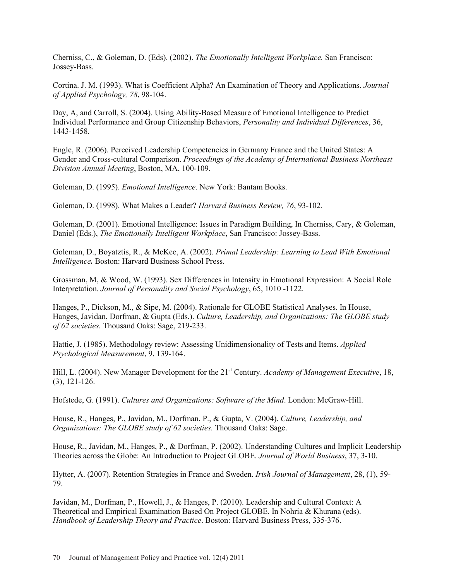Cherniss, C., & Goleman, D. (Eds). (2002). *The Emotionally Intelligent Workplace.* San Francisco: Jossey-Bass.

Cortina. J. M. (1993). What is Coefficient Alpha? An Examination of Theory and Applications. *Journal of Applied Psychology, 78*, 98-104.

Day, A, and Carroll, S. (2004). Using Ability-Based Measure of Emotional Intelligence to Predict Individual Performance and Group Citizenship Behaviors, *Personality and Individual Differences*, 36, 1443-1458.

Engle, R. (2006). Perceived Leadership Competencies in Germany France and the United States: A Gender and Cross-cultural Comparison. *Proceedings of the Academy of International Business Northeast Division Annual Meeting*, Boston, MA, 100-109.

Goleman, D. (1995). *Emotional Intelligence*. New York: Bantam Books.

Goleman, D. (1998). What Makes a Leader? *Harvard Business Review, 76*, 93-102.

Goleman, D. (2001). Emotional Intelligence: Issues in Paradigm Building, In Cherniss, Cary, & Goleman, Daniel (Eds.), *The Emotionally Intelligent Workplace***,** San Francisco: Jossey-Bass.

Goleman, D., Boyatztis, R., & McKee, A. (2002). *Primal Leadership: Learning to Lead With Emotional Intelligence.* Boston: Harvard Business School Press.

Grossman, M, & Wood, W. (1993). Sex Differences in Intensity in Emotional Expression: A Social Role Interpretation. *Journal of Personality and Social Psychology*, 65, 1010 -1122.

Hanges, P., Dickson, M., & Sipe, M. (2004). Rationale for GLOBE Statistical Analyses. In House, Hanges, Javidan, Dorfman, & Gupta (Eds.). *Culture, Leadership, and Organizations: The GLOBE study of 62 societies.* Thousand Oaks: Sage, 219-233.

Hattie, J. (1985). Methodology review: Assessing Unidimensionality of Tests and Items. *Applied Psychological Measurement*, 9, 139-164.

Hill, L. (2004). New Manager Development for the 21<sup>st</sup> Century. *Academy of Management Executive*, 18, (3), 121-126.

Hofstede, G. (1991). *Cultures and Organizations: Software of the Mind*. London: McGraw-Hill.

House, R., Hanges, P., Javidan, M., Dorfman, P., & Gupta, V. (2004). *Culture, Leadership, and Organizations: The GLOBE study of 62 societies.* Thousand Oaks: Sage.

House, R., Javidan, M., Hanges, P., & Dorfman, P. (2002). Understanding Cultures and Implicit Leadership Theories across the Globe: An Introduction to Project GLOBE. *Journal of World Business*, 37, 3-10.

Hytter, A. (2007). Retention Strategies in France and Sweden. *Irish Journal of Management*, 28, (1), 59- 79.

Javidan, M., Dorfman, P., Howell, J., & Hanges, P. (2010). Leadership and Cultural Context: A Theoretical and Empirical Examination Based On Project GLOBE. In Nohria & Khurana (eds). *Handbook of Leadership Theory and Practice*. Boston: Harvard Business Press, 335-376.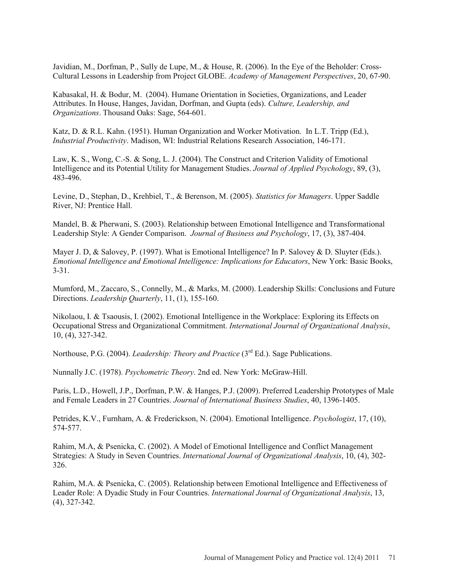Javidian, M., Dorfman, P., Sully de Lupe, M., & House, R. (2006). In the Eye of the Beholder: Cross-Cultural Lessons in Leadership from Project GLOBE. *Academy of Management Perspectives*, 20, 67-90.

Kabasakal, H. & Bodur, M. (2004). Humane Orientation in Societies, Organizations, and Leader Attributes. In House, Hanges, Javidan, Dorfman, and Gupta (eds). *Culture, Leadership, and Organizations*. Thousand Oaks: Sage, 564-601.

Katz, D. & R.L. Kahn. (1951). Human Organization and Worker Motivation. In L.T. Tripp (Ed.), *Industrial Productivity*. Madison, WI: Industrial Relations Research Association, 146-171.

Law, K. S., Wong, C.-S. & Song, L. J. (2004). The Construct and Criterion Validity of Emotional Intelligence and its Potential Utility for Management Studies. *Journal of Applied Psychology*, 89, (3), 483-496.

Levine, D., Stephan, D., Krehbiel, T., & Berenson, M. (2005). *Statistics for Managers*. Upper Saddle River, NJ: Prentice Hall.

Mandel, B. & Pherwani, S. (2003). Relationship between Emotional Intelligence and Transformational Leadership Style: A Gender Comparison. *Journal of Business and Psychology*, 17, (3), 387-404.

Mayer J. D, & Salovey, P. (1997). What is Emotional Intelligence? In P. Salovey & D. Sluyter (Eds.). *Emotional Intelligence and Emotional Intelligence: Implications for Educators*, New York: Basic Books, 3-31.

Mumford, M., Zaccaro, S., Connelly, M., & Marks, M. (2000). Leadership Skills: Conclusions and Future Directions. *Leadership Quarterly*, 11, (1), 155-160.

Nikolaou, I. & Tsaousis, I. (2002). Emotional Intelligence in the Workplace: Exploring its Effects on Occupational Stress and Organizational Commitment. *International Journal of Organizational Analysis*, 10, (4), 327-342.

Northouse, P.G. (2004). *Leadership: Theory and Practice* (3<sup>rd</sup> Ed.). Sage Publications.

Nunnally J.C. (1978). *Psychometric Theory*. 2nd ed. New York: McGraw-Hill.

Paris, L.D., Howell, J.P., Dorfman, P.W. & Hanges, P.J. (2009). Preferred Leadership Prototypes of Male and Female Leaders in 27 Countries. *Journal of International Business Studies*, 40, 1396-1405.

Petrides, K.V., Furnham, A. & Frederickson, N. (2004). Emotional Intelligence. *Psychologist*, 17, (10), 574-577.

Rahim, M.A, & Psenicka, C. (2002). A Model of Emotional Intelligence and Conflict Management Strategies: A Study in Seven Countries. *International Journal of Organizational Analysis*, 10, (4), 302- 326.

Rahim, M.A. & Psenicka, C. (2005). Relationship between Emotional Intelligence and Effectiveness of Leader Role: A Dyadic Study in Four Countries. *International Journal of Organizational Analysis*, 13, (4), 327-342.